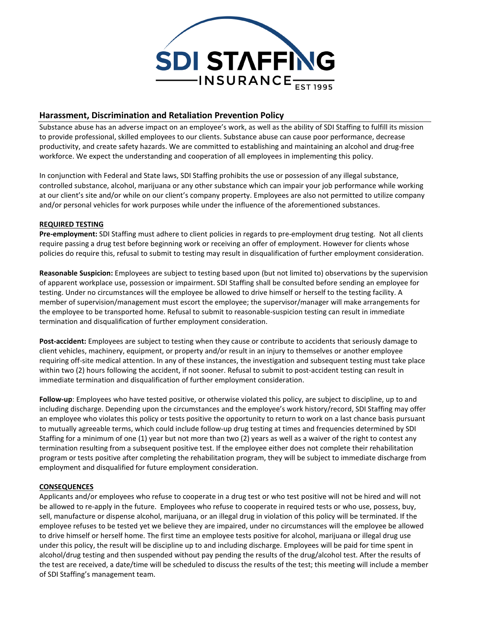

# **Harassment, Discrimination and Retaliation Prevention Policy**

Substance abuse has an adverse impact on an employee's work, as well as the ability of SDI Staffing to fulfill its mission to provide professional, skilled employees to our clients. Substance abuse can cause poor performance, decrease productivity, and create safety hazards. We are committed to establishing and maintaining an alcohol and drug-free workforce. We expect the understanding and cooperation of all employees in implementing this policy.

In conjunction with Federal and State laws, SDI Staffing prohibits the use or possession of any illegal substance, controlled substance, alcohol, marijuana or any other substance which can impair your job performance while working at our client's site and/or while on our client's company property. Employees are also not permitted to utilize company and/or personal vehicles for work purposes while under the influence of the aforementioned substances.

### **REQUIRED TESTING**

**Pre-employment:** SDI Staffing must adhere to client policies in regards to pre-employment drug testing. Not all clients require passing a drug test before beginning work or receiving an offer of employment. However for clients whose policies do require this, refusal to submit to testing may result in disqualification of further employment consideration.

**Reasonable Suspicion:** Employees are subject to testing based upon (but not limited to) observations by the supervision of apparent workplace use, possession or impairment. SDI Staffing shall be consulted before sending an employee for testing. Under no circumstances will the employee be allowed to drive himself or herself to the testing facility. A member of supervision/management must escort the employee; the supervisor/manager will make arrangements for the employee to be transported home. Refusal to submit to reasonable-suspicion testing can result in immediate termination and disqualification of further employment consideration.

**Post-accident:** Employees are subject to testing when they cause or contribute to accidents that seriously damage to client vehicles, machinery, equipment, or property and/or result in an injury to themselves or another employee requiring off-site medical attention. In any of these instances, the investigation and subsequent testing must take place within two (2) hours following the accident, if not sooner. Refusal to submit to post-accident testing can result in immediate termination and disqualification of further employment consideration.

**Follow-up**: Employees who have tested positive, or otherwise violated this policy, are subject to discipline, up to and including discharge. Depending upon the circumstances and the employee's work history/record, SDI Staffing may offer an employee who violates this policy or tests positive the opportunity to return to work on a last chance basis pursuant to mutually agreeable terms, which could include follow-up drug testing at times and frequencies determined by SDI Staffing for a minimum of one (1) year but not more than two (2) years as well as a waiver of the right to contest any termination resulting from a subsequent positive test. If the employee either does not complete their rehabilitation program or tests positive after completing the rehabilitation program, they will be subject to immediate discharge from employment and disqualified for future employment consideration.

### **CONSEQUENCES**

Applicants and/or employees who refuse to cooperate in a drug test or who test positive will not be hired and will not be allowed to re-apply in the future. Employees who refuse to cooperate in required tests or who use, possess, buy, sell, manufacture or dispense alcohol, marijuana, or an illegal drug in violation of this policy will be terminated. If the employee refuses to be tested yet we believe they are impaired, under no circumstances will the employee be allowed to drive himself or herself home. The first time an employee tests positive for alcohol, marijuana or illegal drug use under this policy, the result will be discipline up to and including discharge. Employees will be paid for time spent in alcohol/drug testing and then suspended without pay pending the results of the drug/alcohol test. After the results of the test are received, a date/time will be scheduled to discuss the results of the test; this meeting will include a member of SDI Staffing's management team.